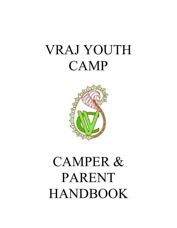# VRAJ YOUTH CAMP



# CAMPER & PARENT HANDBOOK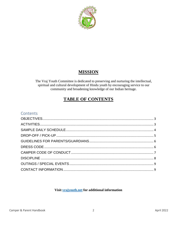

## **MISSION**

The Vraj Youth Committee is dedicated to preserving and nurturing the intellectual, spiritual and cultural development of Hindu youth by encouraging service to our community and broadening knowledge of our Indian heritage.

## **TABLE OF CONTENTS**

#### Contents

#### Visit **yrajyouth.net** for additional information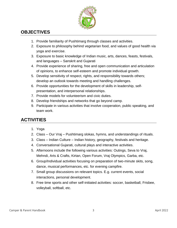

## <span id="page-2-0"></span>**OBJECTIVES**

- 1. Provide familiarity of Pushtimarg through classes and activities.
- 2. Exposure to philosophy behind vegetarian food, and values of good health via yoga and exercise.
- 3. Exposure to basic knowledge of Indian music, arts, dances, feasts, festivals, and languages – Sanskrit and Gujarati
- 4. Provide experience of sharing, free and open communication and articulation of opinions, to enhance self-esteem and promote individual growth.
- 5. Develop sensitivity of respect, rights, and responsibility towards others; develop an outlook towards meeting and handling challenges.
- 6. Provide opportunities for the development of skills in leadership, selfpresentation, and interpersonal relationships.
- 7. Provide models for volunteerism and civic duties.
- 8. Develop friendships and networks that go beyond camp.
- 9. Participate in various activities that involve cooperation, public speaking, and team work.

## <span id="page-2-1"></span>**ACTIVITIES**

- 1. Yoga
- 2. Class Our Vraj Pushtimarg slokas, hymns, and understandings of rituals.
- 3. Class Indian Culture Indian history, geography, festivals and heritage.
- 4. Conversational Gujarati, cultural plays and interactive activities.
- 5. Afternoons include the following various activities: Outings, Seva to Vraj, Mehndi, Arts & Crafts, Kirtan, Open Forum, Vraj Olympics, Garba, etc.
- 6. Group/Individual activities focusing on preparation of two-minute skits, song, dance, musical performances, etc. for evening campfire.
- 7. Small group discussions on relevant topics. E.g. current events, social interactions, personal development.
- 8. Free time sports and other self-initiated activities: soccer, basketball, Frisbee, volleyball, softball, etc.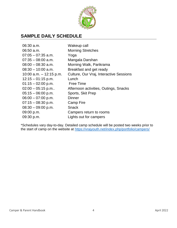

## <span id="page-3-0"></span>**SAMPLE DAILY SCHEDULE**

| $06:30$ a.m.              | Wakeup call                             |
|---------------------------|-----------------------------------------|
| $06:50$ a.m.              | <b>Morning Stretches</b>                |
| $07:05 - 07:35$ a.m.      | Yoga                                    |
| $07:35 - 08:00$ a.m.      | Mangala Darshan                         |
| $08:00 - 08:30$ a.m.      | Morning Walk, Parikrama                 |
| $08:30 - 10:00$ a.m.      | Breakfast and get ready                 |
| 10:00 a.m. $-$ 12:15 p.m. | Culture, Our Vraj, Interactive Sessions |
| $12:15 - 01:15$ p.m.      | Lunch                                   |
| $01:15 - 02:00$ p.m.      | <b>Free Time</b>                        |
| $02:00 - 05:15$ p.m       | Afternoon activities, Outings, Snacks   |
| $05:15 - 06:00$ p.m.      | Sports, Skit Prep                       |
| $06:00 - 07:00$ p.m.      | Dinner                                  |
| $07:15 - 08:30$ p.m.      | Camp Fire                               |
| $08:30 - 09:00$ p.m.      | <b>Snack</b>                            |
| 09:00 p.m.                | Campers return to rooms                 |
| 09:30 p.m.                | Lights out for campers                  |

\*Schedules vary day-to-day. Detailed camp schedule will be posted two weeks prior to the start of camp on the website at<https://vrajyouth.net/index.php/portfolio/campers/>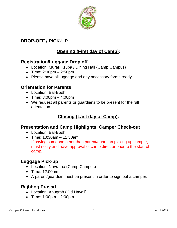

## <span id="page-4-0"></span>**DROP-OFF / PICK-UP**

# **Opening (First day of Camp):**

## **Registration/Luggage Drop off**

- Location: Murari Krupa / Dining Hall (Camp Campus)
- Time:  $2:00 \text{pm} 2:50 \text{pm}$
- Please have all luggage and any necessary forms ready

#### **Orientation for Parents**

- Location: Bal-Bodh
- $\bullet$  Time: 3:00pm  $-$  4:00pm
- We request all parents or guardians to be present for the full orientation.

## **Closing (Last day of Camp):**

#### **Presentation and Camp Highlights, Camper Check-out**

- Location: Bal-Bodh
- Time: 10:30am 11:30am If having someone other than parent/guardian picking up camper, must notify and have approval of camp director prior to the start of camp.

#### **Luggage Pick-up**

- Location: Navratna (Camp Campus)
- Time: 12:00pm
- A parent/guardian must be present in order to sign out a camper.

## **Rajbhog Prasad**

- Location: Anugrah (Old Haveli)
- Time: 1:00pm 2:00pm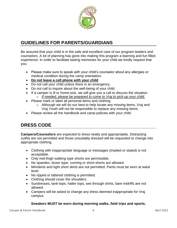

## <span id="page-5-0"></span>**GUIDELINES FOR PARENTS/GUARDIANS**

Be assured that your child is in the safe and excellent care of our program leaders and counselors. A lot of planning has gone into making this program a learning and fun filled experience. In order to facilitate lasting memories for your child we kindly request that you:

- Please make sure to speak with your child's counselor about any allergies or medical condition during the camp orientation.
- **Do not leave a cell phone with your child**
- Do not call your child unless there is an emergency.
- Do not call to inquire about the well-being of your child.
- If a camper is ill or home-sick, we will give you a call to discuss the situation.
	- o *If needed, please be prepared to come to Vraj to pick-up your child.*
- Please mark or label all personal items and clothing
	- o Although we will do our best to help locate any missing items, Vraj and Vraj Youth will not be responsible to replace any missing items.
- Please review all the handbook and camp policies with your child.

## <span id="page-5-1"></span>**DRESS CODE**

**Campers/Counselors** are expected to dress neatly and appropriately. Distracting outfits are not permitted and those unsuitably dressed will be requested to change into appropriate clothing.

- Clothing with inappropriate language or messages (implied or stated) is not acceptable.
- Only mid-thigh walking type shorts are permissible.
- No spandex, boxer-type, running or short-shorts are allowed.
- Miniskirts and tight short skirts are not permitted. Pants must be worn at waist level.
- No ripped or tattered clothing is permitted.
- Clothing should cover the shoulders.
- Sundresses, tank-tops, halter tops, see through shirts, bare midriffs are not allowed.
- Campers will be asked to change any dress deemed inappropriate for Vraj campus.

#### **Sneakers MUST be worn during morning walks, field trips and sports.**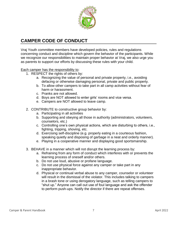

## <span id="page-6-0"></span>**CAMPER CODE OF CONDUCT**

Vraj Youth committee members have developed policies, rules and regulations concerning conduct and discipline which govern the behavior of the participants. While we recognize our responsibilities to maintain proper behavior at Vraj, we also urge you as parents to support our efforts by discussing these rules with your child.

Each camper has the responsibility to:

- 1. RESPECT the rights of others by:
	- a. Recognizing the value of personal and private property, i.e., avoiding defacing or otherwise damaging personal, private and public property.
	- b. To allow other campers to take part in all camp activities without fear of harm or harassment.
	- c. Pranks are not allowed.
	- d. Boys are NOT allowed to enter girls' rooms and vice versa.
	- e. Campers are NOT allowed to leave camp.
- 2. CONTRIBUTE to constructive group behavior by:
	- a. Participating in all activities
	- b. Supporting and obeying all those in authority (administrators, volunteers, counselors, etc.)
	- c. Controlling one's own physical actions, which are disturbing to others, i.e., fighting, tripping, shoving, etc.
	- d. Exercising self-discipline (e.g. properly eating in a courteous fashion, speaking quietly and disposing of garbage in a neat and orderly manner).
	- e. Playing in a cooperative manner and displaying good sportsmanship.
- 3. BEHAVE in a manner which will not disrupt the learning process by:
	- a. Refraining from any form of conduct which interferes with or prevents the learning process of oneself and/or others.
	- b. Do not use loud, abusive or profane language.
	- c. Do not use physical force against any camper or take part in any inappropriate behavior.
	- d. Physical or continual verbal abuse to any camper, counselor or volunteer will result in the dismissal of the violator. This includes talking to campers in a brash tone or using derogatory language, such as telling campers to "shut up." Anyone can call out use of foul language and ask the offender to perform push-ups. Notify the director if there are repeat offenses.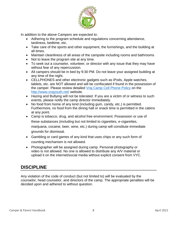

In addition to the above Campers are expected to:

- Adhering to the program schedule and regulations concerning attendance, tardiness, bedtime, etc.
- Take care of the sports and other equipment, the furnishings, and the building at all times.
- Maintain cleanliness of all areas of the campsite including rooms and bathrooms
- Not to leave the program site at any time.
- To seek out a counselor, volunteer, or director with any issue that they may have without fear of any repercussion.
- All campers should be in bed by 9:30 PM. Do not leave your assigned building at any time of the night.
- CELLPHONES and other electronic gadgets such as iPods, Apple watches, tablets, etc. are NOT allowed and will be confiscated if found in the possession of the camper. Please review detailed [Vraj Camp Cell Phone Policy](https://vrajyouth.net/wp-content/uploads/2019/02/Cell-Phone-Policy-at-Vraj-Camps-1.pdf) on the <http://www.vrajyouth.net/> website.
- Hazing and Bullying will not be tolerated. If you are a victim of or witness to such events, please notify the camp director immediately.
- No food from home of any kind (including gum, candy, etc.) is permitted. Furthermore, no food from the dining hall or snack time is permitted in the cabins at any point.
- Camp is tobacco, drug, and alcohol free environment. Possession or use of these substances (including but not limited to cigarettes, e-cigarettes, marijuana, cocaine, beer, wine, etc.) during camp will constitute immediate grounds for dismissal.
- Gambling or card games of any kind that uses chips or any such form of counting mechanism is not allowed.
- Photographer will be assigned during camp. Personal photography or video is not allowed. No one is allowed to distribute any A/V material or upload it on the internet/social media without explicit consent from VYC.

## <span id="page-7-0"></span>**DISCIPLINE**

Any violation of the code of conduct (but not limited to) will be evaluated by the counselor, head counselor, and directors of the camp. The appropriate penalties will be decided upon and adhered to without question.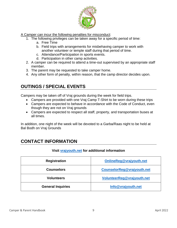

A Camper can incur the following penalties for misconduct:

- 1. The following privileges can be taken away for a specific period of time:
	- a. Free Time
	- b. Field trips with arrangements for misbehaving camper to work with another volunteer or temple staff during that period of time.
	- c. Attendance/Participation in sports events.
	- d. Participation in other camp activities.
- 2. A camper can be required to attend a time-out supervised by an appropriate staff member.
- 3. The parent may be requested to take camper home.
- 4. Any other form of penalty, within reason, that the camp director decides upon.

## <span id="page-8-0"></span>**OUTINGS / SPECIAL EVENTS**

Campers may be taken off of Vraj grounds during the week for field trips.

- Campers are provided with one Vraj Camp T-Shirt to be worn during these trips
- Campers are expected to behave in accordance with the Code of Conduct, even though they are not on Vraj grounds
- Campers are expected to respect all staff, property, and transportation buses at all times.

In addition, one night of the week will be devoted to a Garba/Raas night to be held at Bal Bodh on Vraj Grounds

# <span id="page-8-1"></span>**CONTACT INFORMATION**

#### **Visit [vrajyouth.net](https://vrajyouth.net/) for additional information**

| <b>Registration</b>      | OnlineReg@vrajyouth.net    |
|--------------------------|----------------------------|
| <b>Counselors</b>        | CounselorReg@vrajyouth.net |
| <b>Volunteers</b>        | VolunteerReg@vrajyouth.net |
| <b>General Inquiries</b> | Info@vrajyouth.net         |